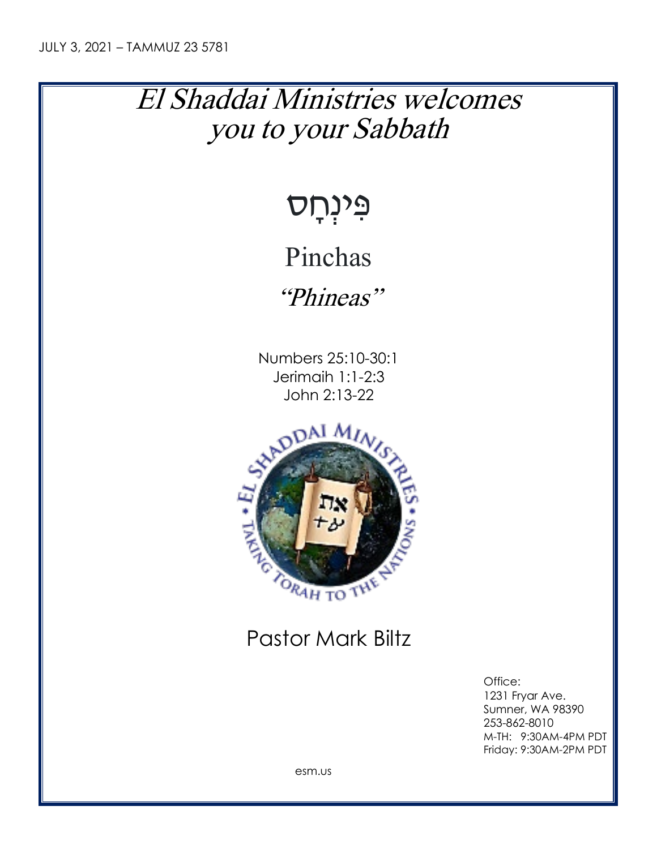## El Shaddai Ministries welcomes you to your Sabbath

# פִּ ינְחָ ס

## Pinchas

"Phineas"

Numbers 25:10-30:1 Jerimaih 1:1-2:3 John 2:13-22



## Pastor Mark Biltz

Office: 1231 Fryar Ave. Sumner, WA 98390 253-862-8010 M-TH: 9:30AM-4PM PDT Friday: 9:30AM-2PM PDT

esm.us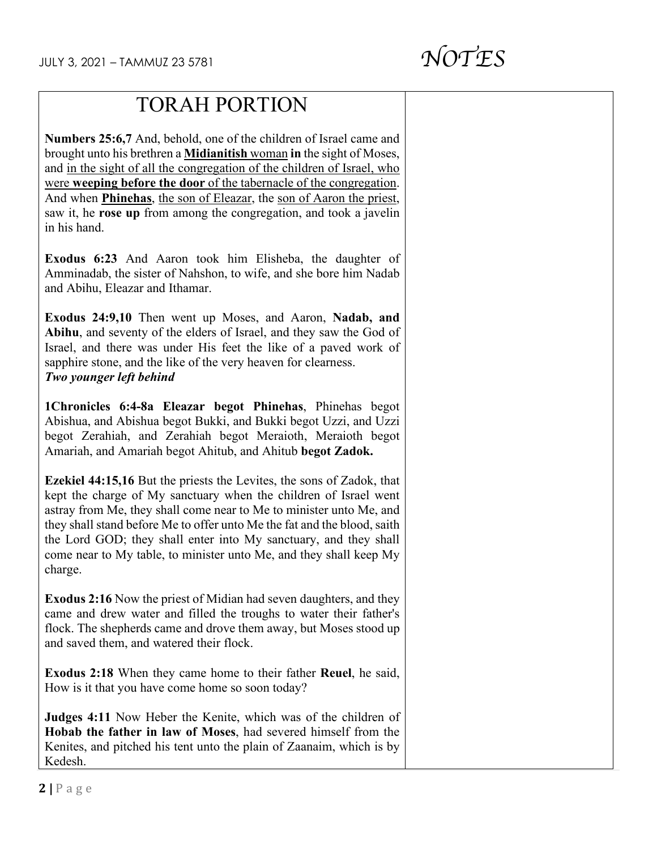### TORAH PORTION

**Numbers 25:6,7** And, behold, one of the children of Israel came and brought unto his brethren a **Midianitish** woman **in** the sight of Moses, and in the sight of all the congregation of the children of Israel, who were **weeping before the door** of the tabernacle of the congregation. And when **Phinehas**, the son of Eleazar, the son of Aaron the priest, saw it, he **rose up** from among the congregation, and took a javelin in his hand.

**Exodus 6:23** And Aaron took him Elisheba, the daughter of Amminadab, the sister of Nahshon, to wife, and she bore him Nadab and Abihu, Eleazar and Ithamar.

**Exodus 24:9,10** Then went up Moses, and Aaron, **Nadab, and Abihu**, and seventy of the elders of Israel, and they saw the God of Israel, and there was under His feet the like of a paved work of sapphire stone, and the like of the very heaven for clearness. *Two younger left behind*

**1Chronicles 6:4-8a Eleazar begot Phinehas**, Phinehas begot Abishua, and Abishua begot Bukki, and Bukki begot Uzzi, and Uzzi begot Zerahiah, and Zerahiah begot Meraioth, Meraioth begot Amariah, and Amariah begot Ahitub, and Ahitub **begot Zadok.**

**Ezekiel 44:15,16** But the priests the Levites, the sons of Zadok, that kept the charge of My sanctuary when the children of Israel went astray from Me, they shall come near to Me to minister unto Me, and they shall stand before Me to offer unto Me the fat and the blood, saith the Lord GOD; they shall enter into My sanctuary, and they shall come near to My table, to minister unto Me, and they shall keep My charge.

**Exodus 2:16** Now the priest of Midian had seven daughters, and they came and drew water and filled the troughs to water their father's flock. The shepherds came and drove them away, but Moses stood up and saved them, and watered their flock.

**Exodus 2:18** When they came home to their father **Reuel**, he said, How is it that you have come home so soon today?

**Judges 4:11** Now Heber the Kenite, which was of the children of **Hobab the father in law of Moses**, had severed himself from the Kenites, and pitched his tent unto the plain of Zaanaim, which is by Kedesh.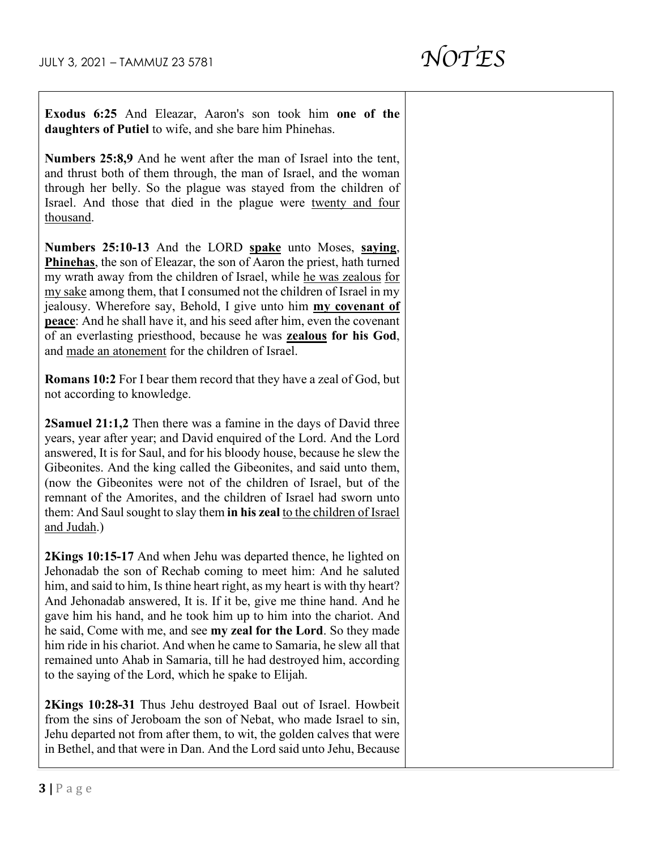

**Exodus 6:25** And Eleazar, Aaron's son took him **one of the daughters of Putiel** to wife, and she bare him Phinehas.

**Numbers 25:8,9** And he went after the man of Israel into the tent, and thrust both of them through, the man of Israel, and the woman through her belly. So the plague was stayed from the children of Israel. And those that died in the plague were twenty and four thousand.

**Numbers 25:10-13** And the LORD **spake** unto Moses, **saying**, **Phinehas**, the son of Eleazar, the son of Aaron the priest, hath turned my wrath away from the children of Israel, while he was zealous for my sake among them, that I consumed not the children of Israel in my jealousy. Wherefore say, Behold, I give unto him **my covenant of peace**: And he shall have it, and his seed after him, even the covenant of an everlasting priesthood, because he was **zealous for his God**, and made an atonement for the children of Israel.

**Romans 10:2** For I bear them record that they have a zeal of God, but not according to knowledge.

**2Samuel 21:1,2** Then there was a famine in the days of David three years, year after year; and David enquired of the Lord. And the Lord answered, It is for Saul, and for his bloody house, because he slew the Gibeonites. And the king called the Gibeonites, and said unto them, (now the Gibeonites were not of the children of Israel, but of the remnant of the Amorites, and the children of Israel had sworn unto them: And Saul sought to slay them **in his zeal** to the children of Israel and Judah.)

**2Kings 10:15-17** And when Jehu was departed thence, he lighted on Jehonadab the son of Rechab coming to meet him: And he saluted him, and said to him, Is thine heart right, as my heart is with thy heart? And Jehonadab answered, It is. If it be, give me thine hand. And he gave him his hand, and he took him up to him into the chariot. And he said, Come with me, and see **my zeal for the Lord**. So they made him ride in his chariot. And when he came to Samaria, he slew all that remained unto Ahab in Samaria, till he had destroyed him, according to the saying of the Lord, which he spake to Elijah.

**2Kings 10:28-31** Thus Jehu destroyed Baal out of Israel. Howbeit from the sins of Jeroboam the son of Nebat, who made Israel to sin, Jehu departed not from after them, to wit, the golden calves that were in Bethel, and that were in Dan. And the Lord said unto Jehu, Because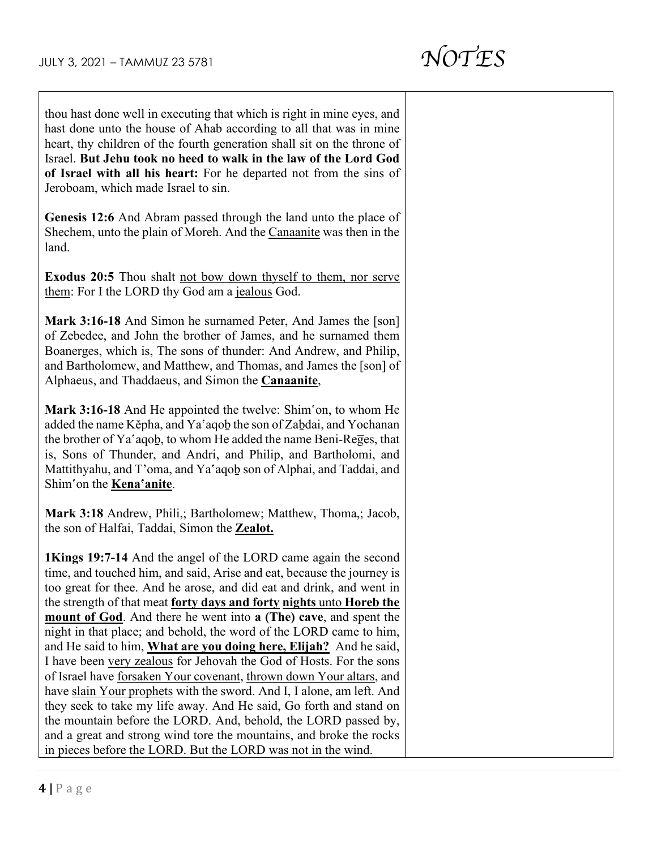

thou hast done well in executing that which is right in mine eyes, and hast done unto the house of Ahab according to all that was in mine heart, thy children of the fourth generation shall sit on the throne of Israel. **But Jehu took no heed to walk in the law of the Lord God of Israel with all his heart:** For he departed not from the sins of Jeroboam, which made Israel to sin. **Genesis 12:6** And Abram passed through the land unto the place of Shechem, unto the plain of Moreh. And the Canaanite was then in the land. **Exodus 20:5** Thou shalt not bow down thyself to them, nor serve them: For I the LORD thy God am a jealous God. **Mark 3:16-18** And Simon he surnamed Peter, And James the [son] of Zebedee, and John the brother of James, and he surnamed them Boanerges, which is, The sons of thunder: And Andrew, and Philip, and Bartholomew, and Matthew, and Thomas, and James the [son] of Alphaeus, and Thaddaeus, and Simon the **Canaanite**, **Mark 3:16-18** And He appointed the twelve: Shim'on, to whom He added the name Kĕpha, and Ya'aqoḇ the son of Zaḇdai, and Yochanan the brother of Ya'aqob, to whom He added the name Beni-Reges, that is, Sons of Thunder, and Andri, and Philip, and Bartholomi, and Mattithyahu, and T'oma, and Ya'aqoḇ son of Alphai, and Taddai, and Shim'on the **Kena'anite**. **Mark 3:18** Andrew, Phili,; Bartholomew; Matthew, Thoma,; Jacob, the son of Halfai, Taddai, Simon the **Zealot. 1Kings 19:7-14** And the angel of the LORD came again the second time, and touched him, and said, Arise and eat, because the journey is too great for thee. And he arose, and did eat and drink, and went in the strength of that meat **forty days and forty nights** unto **Horeb the mount of God**. And there he went into **a (The) cave**, and spent the night in that place; and behold, the word of the LORD came to him, and He said to him, **What are you doing here, Elijah?** And he said, I have been very zealous for Jehovah the God of Hosts. For the sons of Israel have forsaken Your covenant, thrown down Your altars, and have slain Your prophets with the sword. And I, I alone, am left. And they seek to take my life away. And He said, Go forth and stand on the mountain before the LORD. And, behold, the LORD passed by, and a great and strong wind tore the mountains, and broke the rocks in pieces before the LORD. But the LORD was not in the wind.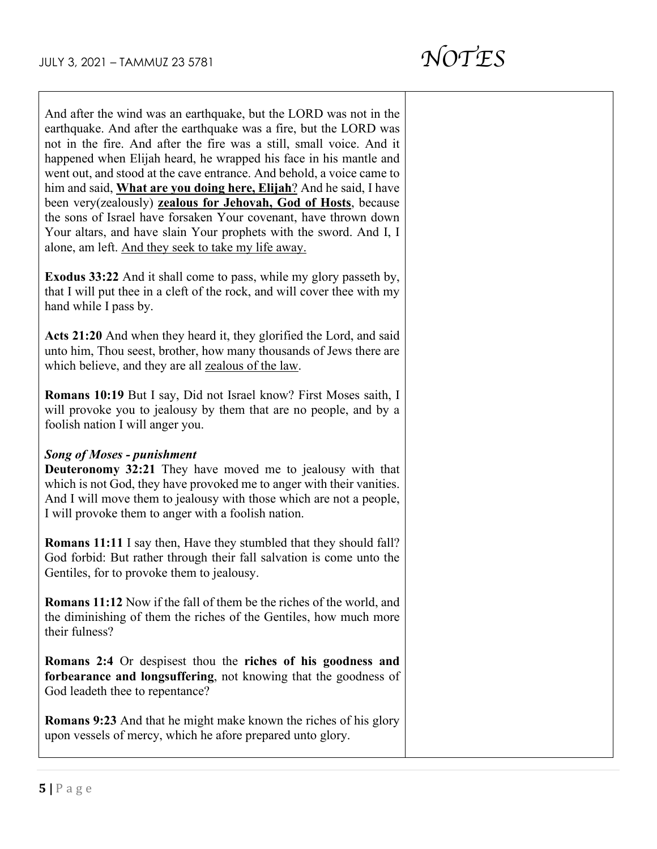And after the wind was an earthquake, but the LORD was not in the earthquake. And after the earthquake was a fire, but the LORD was not in the fire. And after the fire was a still, small voice. And it happened when Elijah heard, he wrapped his face in his mantle and went out, and stood at the cave entrance. And behold, a voice came to him and said, **What are you doing here, Elijah**? And he said, I have been very(zealously) **zealous for Jehovah, God of Hosts**, because the sons of Israel have forsaken Your covenant, have thrown down Your altars, and have slain Your prophets with the sword. And I, I alone, am left. And they seek to take my life away.

**Exodus 33:22** And it shall come to pass, while my glory passeth by, that I will put thee in a cleft of the rock, and will cover thee with my hand while I pass by.

**Acts 21:20** And when they heard it, they glorified the Lord, and said unto him, Thou seest, brother, how many thousands of Jews there are which believe, and they are all zealous of the law.

**Romans 10:19** But I say, Did not Israel know? First Moses saith, I will provoke you to jealousy by them that are no people, and by a foolish nation I will anger you.

#### *Song of Moses - punishment*

**Deuteronomy 32:21** They have moved me to jealousy with that which is not God, they have provoked me to anger with their vanities. And I will move them to jealousy with those which are not a people, I will provoke them to anger with a foolish nation.

**Romans 11:11** I say then, Have they stumbled that they should fall? God forbid: But rather through their fall salvation is come unto the Gentiles, for to provoke them to jealousy.

**Romans 11:12** Now if the fall of them be the riches of the world, and the diminishing of them the riches of the Gentiles, how much more their fulness?

**Romans 2:4** Or despisest thou the **riches of his goodness and forbearance and longsuffering**, not knowing that the goodness of God leadeth thee to repentance?

**Romans 9:23** And that he might make known the riches of his glory upon vessels of mercy, which he afore prepared unto glory.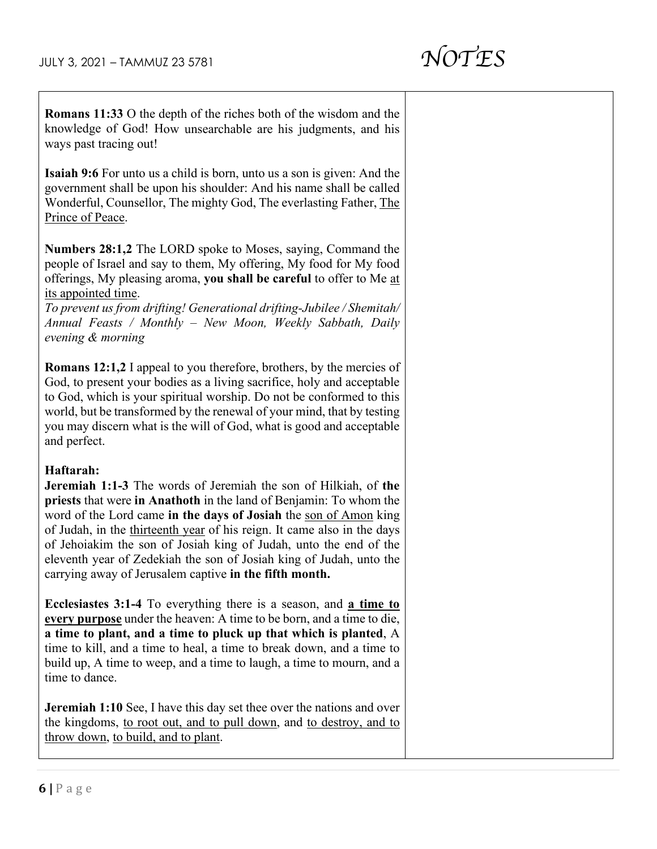

**Romans 11:33** O the depth of the riches both of the wisdom and the knowledge of God! How unsearchable are his judgments, and his ways past tracing out!

**Isaiah 9:6** For unto us a child is born, unto us a son is given: And the government shall be upon his shoulder: And his name shall be called Wonderful, Counsellor, The mighty God, The everlasting Father, The Prince of Peace.

**Numbers 28:1,2** The LORD spoke to Moses, saying, Command the people of Israel and say to them, My offering, My food for My food offerings, My pleasing aroma, **you shall be careful** to offer to Me at its appointed time.

*To prevent us from drifting! Generational drifting-Jubilee / Shemitah/ Annual Feasts / Monthly – New Moon, Weekly Sabbath, Daily evening & morning*

**Romans 12:1,2** I appeal to you therefore, brothers, by the mercies of God, to present your bodies as a living sacrifice, holy and acceptable to God, which is your spiritual worship. Do not be conformed to this world, but be transformed by the renewal of your mind, that by testing you may discern what is the will of God, what is good and acceptable and perfect.

#### **Haftarah:**

**Jeremiah 1:1-3** The words of Jeremiah the son of Hilkiah, of **the priests** that were **in Anathoth** in the land of Benjamin: To whom the word of the Lord came **in the days of Josiah** the son of Amon king of Judah, in the thirteenth year of his reign. It came also in the days of Jehoiakim the son of Josiah king of Judah, unto the end of the eleventh year of Zedekiah the son of Josiah king of Judah, unto the carrying away of Jerusalem captive **in the fifth month.**

**Ecclesiastes 3:1-4** To everything there is a season, and **a time to every purpose** under the heaven: A time to be born, and a time to die, **a time to plant, and a time to pluck up that which is planted**, A time to kill, and a time to heal, a time to break down, and a time to build up, A time to weep, and a time to laugh, a time to mourn, and a time to dance.

**Jeremiah 1:10** See, I have this day set thee over the nations and over the kingdoms, to root out, and to pull down, and to destroy, and to throw down, to build, and to plant.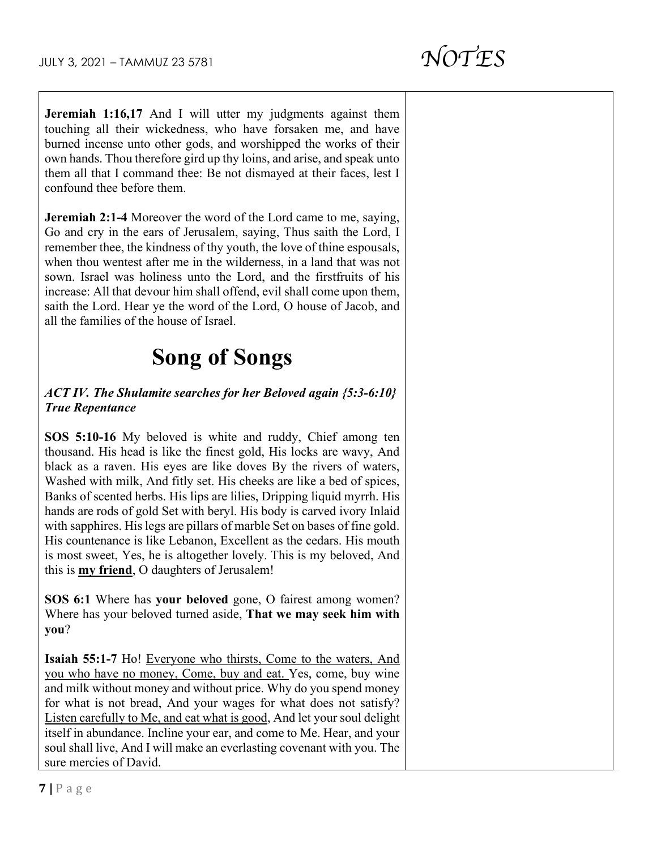

**Jeremiah 1:16,17** And I will utter my judgments against them touching all their wickedness, who have forsaken me, and have burned incense unto other gods, and worshipped the works of their own hands. Thou therefore gird up thy loins, and arise, and speak unto them all that I command thee: Be not dismayed at their faces, lest I confound thee before them.

**Jeremiah 2:1-4** Moreover the word of the Lord came to me, saying, Go and cry in the ears of Jerusalem, saying, Thus saith the Lord, I remember thee, the kindness of thy youth, the love of thine espousals, when thou wentest after me in the wilderness, in a land that was not sown. Israel was holiness unto the Lord, and the firstfruits of his increase: All that devour him shall offend, evil shall come upon them, saith the Lord. Hear ye the word of the Lord, O house of Jacob, and all the families of the house of Israel.

### **Song of Songs**

#### *ACT IV. The Shulamite searches for her Beloved again {5:3-6:10} True Repentance*

**SOS 5:10-16** My beloved is white and ruddy, Chief among ten thousand. His head is like the finest gold, His locks are wavy, And black as a raven. His eyes are like doves By the rivers of waters, Washed with milk, And fitly set. His cheeks are like a bed of spices, Banks of scented herbs. His lips are lilies, Dripping liquid myrrh. His hands are rods of gold Set with beryl. His body is carved ivory Inlaid with sapphires. His legs are pillars of marble Set on bases of fine gold. His countenance is like Lebanon, Excellent as the cedars. His mouth is most sweet, Yes, he is altogether lovely. This is my beloved, And this is **my friend**, O daughters of Jerusalem!

**SOS 6:1** Where has **your beloved** gone, O fairest among women? Where has your beloved turned aside, **That we may seek him with you**?

**Isaiah 55:1-7** Ho! Everyone who thirsts, Come to the waters, And you who have no money, Come, buy and eat. Yes, come, buy wine and milk without money and without price. Why do you spend money for what is not bread, And your wages for what does not satisfy? Listen carefully to Me, and eat what is good, And let your soul delight itself in abundance. Incline your ear, and come to Me. Hear, and your soul shall live, And I will make an everlasting covenant with you. The sure mercies of David.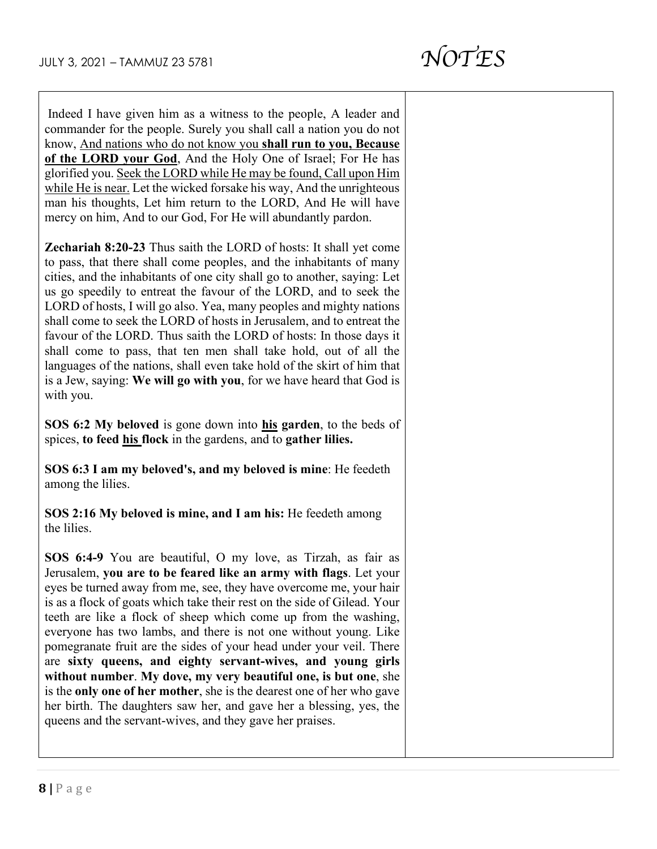

Indeed I have given him as a witness to the people, A leader and commander for the people. Surely you shall call a nation you do not know, And nations who do not know you **shall run to you, Because of the LORD your God**, And the Holy One of Israel; For He has glorified you. Seek the LORD while He may be found, Call upon Him while He is near. Let the wicked forsake his way, And the unrighteous man his thoughts, Let him return to the LORD, And He will have mercy on him, And to our God, For He will abundantly pardon.

**Zechariah 8:20-23** Thus saith the LORD of hosts: It shall yet come to pass, that there shall come peoples, and the inhabitants of many cities, and the inhabitants of one city shall go to another, saying: Let us go speedily to entreat the favour of the LORD, and to seek the LORD of hosts, I will go also. Yea, many peoples and mighty nations shall come to seek the LORD of hosts in Jerusalem, and to entreat the favour of the LORD. Thus saith the LORD of hosts: In those days it shall come to pass, that ten men shall take hold, out of all the languages of the nations, shall even take hold of the skirt of him that is a Jew, saying: **We will go with you**, for we have heard that God is with you.

**SOS 6:2 My beloved** is gone down into **his garden**, to the beds of spices, **to feed his flock** in the gardens, and to **gather lilies.**

**SOS 6:3 I am my beloved's, and my beloved is mine**: He feedeth among the lilies.

**SOS 2:16 My beloved is mine, and I am his:** He feedeth among the lilies.

**SOS 6:4-9** You are beautiful, O my love, as Tirzah, as fair as Jerusalem, **you are to be feared like an army with flags**. Let your eyes be turned away from me, see, they have overcome me, your hair is as a flock of goats which take their rest on the side of Gilead. Your teeth are like a flock of sheep which come up from the washing, everyone has two lambs, and there is not one without young. Like pomegranate fruit are the sides of your head under your veil. There are **sixty queens, and eighty servant-wives, and young girls without number**. **My dove, my very beautiful one, is but one**, she is the **only one of her mother**, she is the dearest one of her who gave her birth. The daughters saw her, and gave her a blessing, yes, the queens and the servant-wives, and they gave her praises.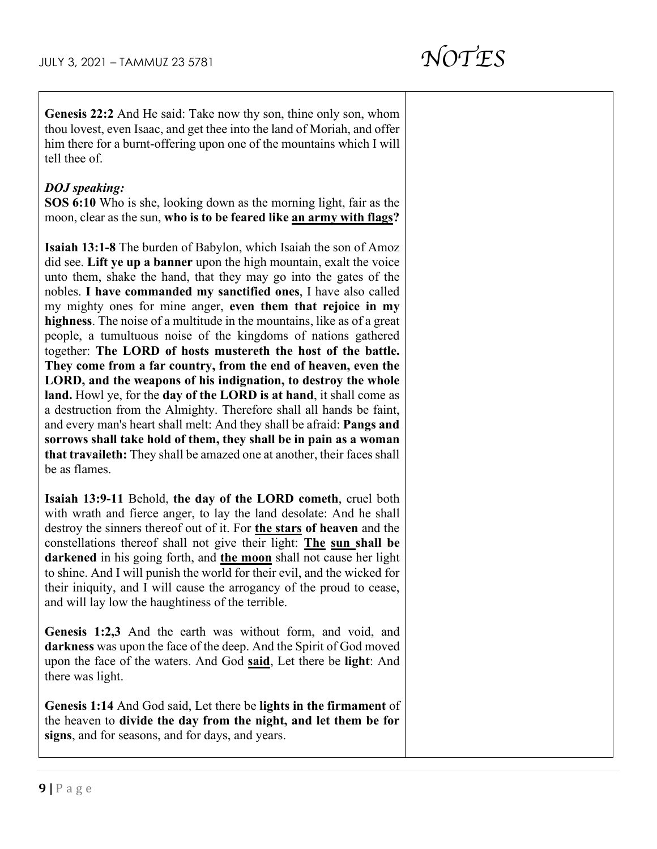

**Genesis 22:2** And He said: Take now thy son, thine only son, whom thou lovest, even Isaac, and get thee into the land of Moriah, and offer him there for a burnt-offering upon one of the mountains which I will tell thee of.

#### *DOJ speaking:*

**SOS 6:10** Who is she, looking down as the morning light, fair as the moon, clear as the sun, **who is to be feared like an army with flags?**

**Isaiah 13:1-8** The burden of Babylon, which Isaiah the son of Amoz did see. **Lift ye up a banner** upon the high mountain, exalt the voice unto them, shake the hand, that they may go into the gates of the nobles. **I have commanded my sanctified ones**, I have also called my mighty ones for mine anger, **even them that rejoice in my highness**. The noise of a multitude in the mountains, like as of a great people, a tumultuous noise of the kingdoms of nations gathered together: **The LORD of hosts mustereth the host of the battle. They come from a far country, from the end of heaven, even the LORD, and the weapons of his indignation, to destroy the whole land.** Howl ye, for the **day of the LORD is at hand**, it shall come as a destruction from the Almighty. Therefore shall all hands be faint, and every man's heart shall melt: And they shall be afraid: **Pangs and sorrows shall take hold of them, they shall be in pain as a woman that travaileth:** They shall be amazed one at another, their faces shall be as flames.

**Isaiah 13:9-11** Behold, **the day of the LORD cometh**, cruel both with wrath and fierce anger, to lay the land desolate: And he shall destroy the sinners thereof out of it. For **the stars of heaven** and the constellations thereof shall not give their light: **The sun shall be darkened** in his going forth, and **the moon** shall not cause her light to shine. And I will punish the world for their evil, and the wicked for their iniquity, and I will cause the arrogancy of the proud to cease, and will lay low the haughtiness of the terrible.

**Genesis 1:2,3** And the earth was without form, and void, and **darkness** was upon the face of the deep. And the Spirit of God moved upon the face of the waters. And God **said**, Let there be **light**: And there was light.

**Genesis 1:14** And God said, Let there be **lights in the firmament** of the heaven to **divide the day from the night, and let them be for signs**, and for seasons, and for days, and years.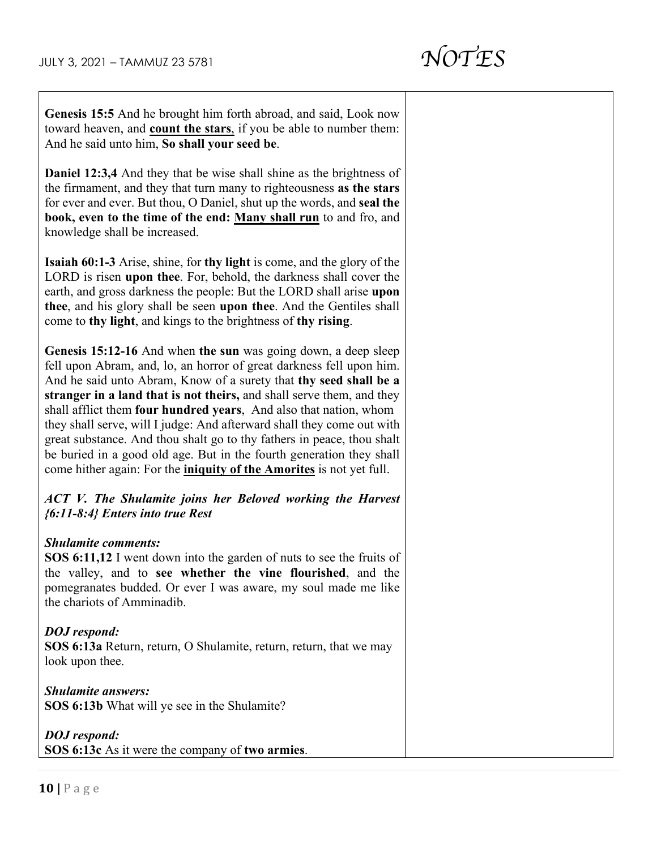**Genesis 15:5** And he brought him forth abroad, and said, Look now toward heaven, and **count the stars**, if you be able to number them: And he said unto him, **So shall your seed be**.

**Daniel 12:3,4** And they that be wise shall shine as the brightness of the firmament, and they that turn many to righteousness **as the stars** for ever and ever. But thou, O Daniel, shut up the words, and **seal the book, even to the time of the end: Many shall run** to and fro, and knowledge shall be increased.

**Isaiah 60:1-3** Arise, shine, for **thy light** is come, and the glory of the LORD is risen **upon thee**. For, behold, the darkness shall cover the earth, and gross darkness the people: But the LORD shall arise **upon thee**, and his glory shall be seen **upon thee**. And the Gentiles shall come to **thy light**, and kings to the brightness of **thy rising**.

**Genesis 15:12-16** And when **the sun** was going down, a deep sleep fell upon Abram, and, lo, an horror of great darkness fell upon him. And he said unto Abram, Know of a surety that **thy seed shall be a stranger in a land that is not theirs,** and shall serve them, and they shall afflict them **four hundred years**, And also that nation, whom they shall serve, will I judge: And afterward shall they come out with great substance. And thou shalt go to thy fathers in peace, thou shalt be buried in a good old age. But in the fourth generation they shall come hither again: For the **iniquity of the Amorites** is not yet full.

#### *ACT V. The Shulamite joins her Beloved working the Harvest {6:11-8:4} Enters into true Rest*

#### *Shulamite comments:*

**SOS 6:11,12** I went down into the garden of nuts to see the fruits of the valley, and to **see whether the vine flourished**, and the pomegranates budded. Or ever I was aware, my soul made me like the chariots of Amminadib.

#### *DOJ respond:*

**SOS 6:13a** Return, return, O Shulamite, return, return, that we may look upon thee.

#### *Shulamite answers:*

**SOS 6:13b** What will ye see in the Shulamite?

#### *DOJ respond:*

**SOS 6:13c** As it were the company of **two armies**.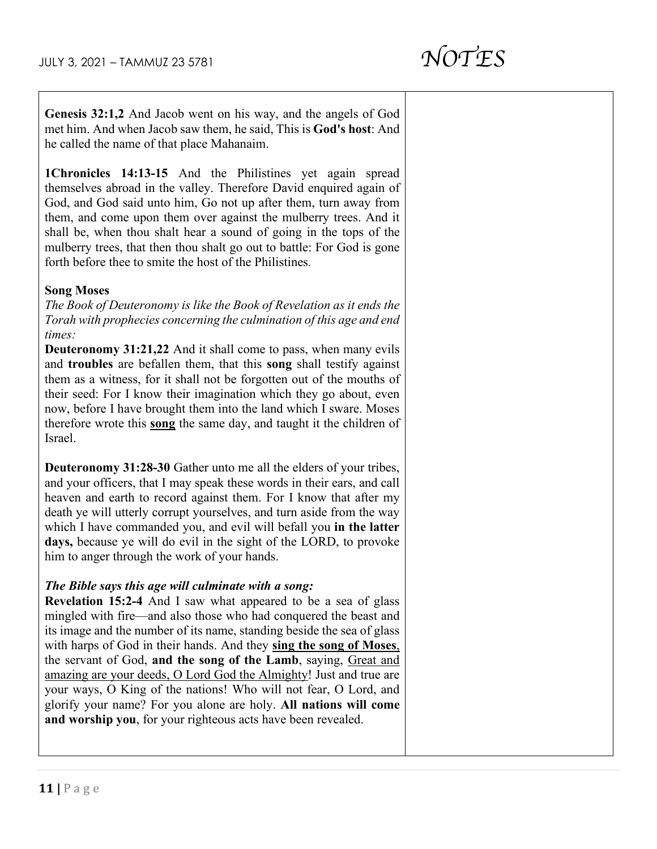

**Genesis 32:1,2** And Jacob went on his way, and the angels of God met him. And when Jacob saw them, he said, This is **God's host**: And he called the name of that place Mahanaim.

**1Chronicles 14:13-15** And the Philistines yet again spread themselves abroad in the valley. Therefore David enquired again of God, and God said unto him, Go not up after them, turn away from them, and come upon them over against the mulberry trees. And it shall be, when thou shalt hear a sound of going in the tops of the mulberry trees, that then thou shalt go out to battle: For God is gone forth before thee to smite the host of the Philistines.

#### **Song Moses**

*The Book of Deuteronomy is like the Book of Revelation as it ends the Torah with prophecies concerning the culmination of this age and end times:*

**Deuteronomy 31:21,22** And it shall come to pass, when many evils and **troubles** are befallen them, that this **song** shall testify against them as a witness, for it shall not be forgotten out of the mouths of their seed: For I know their imagination which they go about, even now, before I have brought them into the land which I sware. Moses therefore wrote this **song** the same day, and taught it the children of Israel.

**Deuteronomy 31:28-30** Gather unto me all the elders of your tribes, and your officers, that I may speak these words in their ears, and call heaven and earth to record against them. For I know that after my death ye will utterly corrupt yourselves, and turn aside from the way which I have commanded you, and evil will befall you **in the latter days,** because ye will do evil in the sight of the LORD, to provoke him to anger through the work of your hands.

#### *The Bible says this age will culminate with a song:*

**Revelation 15:2-4** And I saw what appeared to be a sea of glass mingled with fire—and also those who had conquered the beast and its image and the number of its name, standing beside the sea of glass with harps of God in their hands. And they **sing the song of Moses**, the servant of God, **and the song of the Lamb**, saying, Great and amazing are your deeds, O Lord God the Almighty! Just and true are your ways, O King of the nations! Who will not fear, O Lord, and glorify your name? For you alone are holy. **All nations will come and worship you**, for your righteous acts have been revealed.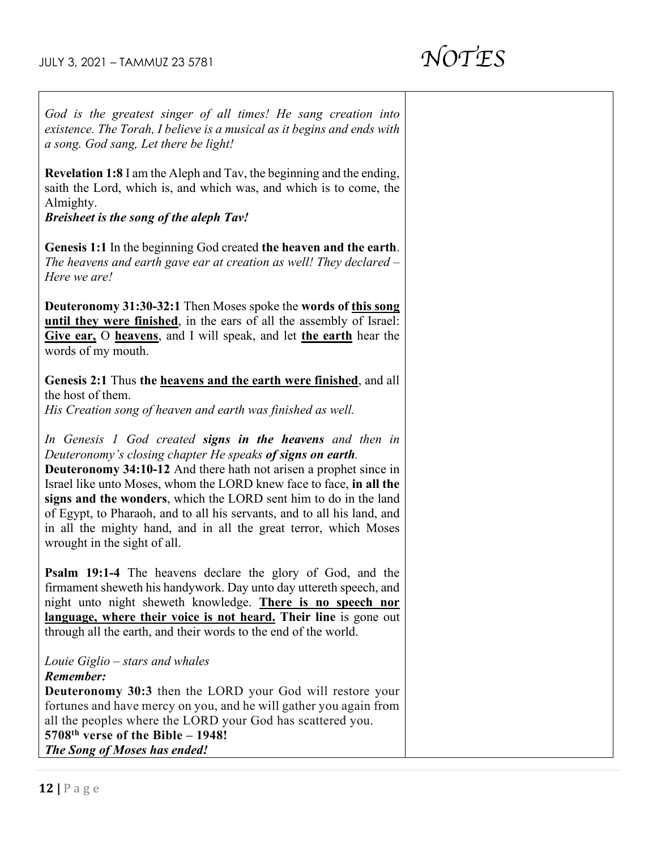

| God is the greatest singer of all times! He sang creation into<br>existence. The Torah, I believe is a musical as it begins and ends with<br>a song. God sang, Let there be light!                                                                                                                                                                                                                                                                                                                                     |  |
|------------------------------------------------------------------------------------------------------------------------------------------------------------------------------------------------------------------------------------------------------------------------------------------------------------------------------------------------------------------------------------------------------------------------------------------------------------------------------------------------------------------------|--|
| <b>Revelation 1:8</b> I am the Aleph and Tav, the beginning and the ending,<br>saith the Lord, which is, and which was, and which is to come, the<br>Almighty.<br><b>Breisheet is the song of the aleph Tav!</b>                                                                                                                                                                                                                                                                                                       |  |
| Genesis 1:1 In the beginning God created the heaven and the earth.<br>The heavens and earth gave ear at creation as well! They declared $-$<br>Here we are!                                                                                                                                                                                                                                                                                                                                                            |  |
| <b>Deuteronomy 31:30-32:1</b> Then Moses spoke the words of this song<br>until they were finished, in the ears of all the assembly of Israel:<br>Give ear, O heavens, and I will speak, and let the earth hear the<br>words of my mouth.                                                                                                                                                                                                                                                                               |  |
| Genesis 2:1 Thus the heavens and the earth were finished, and all<br>the host of them.<br>His Creation song of heaven and earth was finished as well.                                                                                                                                                                                                                                                                                                                                                                  |  |
| In Genesis 1 God created signs in the heavens and then in<br>Deuteronomy's closing chapter He speaks of signs on earth.<br>Deuteronomy 34:10-12 And there hath not arisen a prophet since in<br>Israel like unto Moses, whom the LORD knew face to face, in all the<br>signs and the wonders, which the LORD sent him to do in the land<br>of Egypt, to Pharaoh, and to all his servants, and to all his land, and<br>in all the mighty hand, and in all the great terror, which Moses<br>wrought in the sight of all. |  |
| Psalm 19:1-4 The heavens declare the glory of God, and the<br>firmament sheweth his handywork. Day unto day uttereth speech, and<br>night unto night sheweth knowledge. There is no speech nor<br>language, where their voice is not heard. Their line is gone out<br>through all the earth, and their words to the end of the world.                                                                                                                                                                                  |  |
| Louie Giglio – stars and whales<br><b>Remember:</b><br>Deuteronomy 30:3 then the LORD your God will restore your<br>fortunes and have mercy on you, and he will gather you again from<br>all the peoples where the LORD your God has scattered you.<br>$5708th$ verse of the Bible – 1948!<br>The Song of Moses has ended!                                                                                                                                                                                             |  |